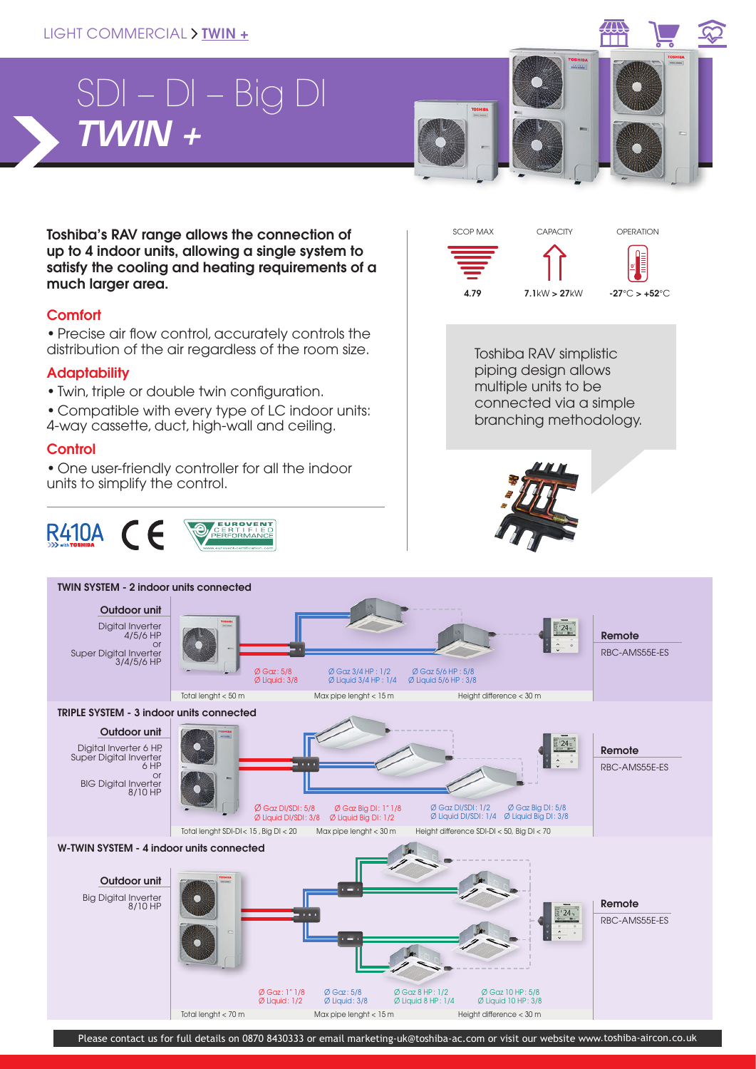### LIGHT COMMERCIAL > TWIN +



### **Adaptability**

- Twin, triple or double twin configuration.
- Compatible with every type of LC indoor units: 4-way cassette, duct, high-wall and ceiling.

#### **Control**

• One user-friendly controller for all the indoor units to simplify the control.





piping design allows multiple units to be connected via a simple branching methodology.



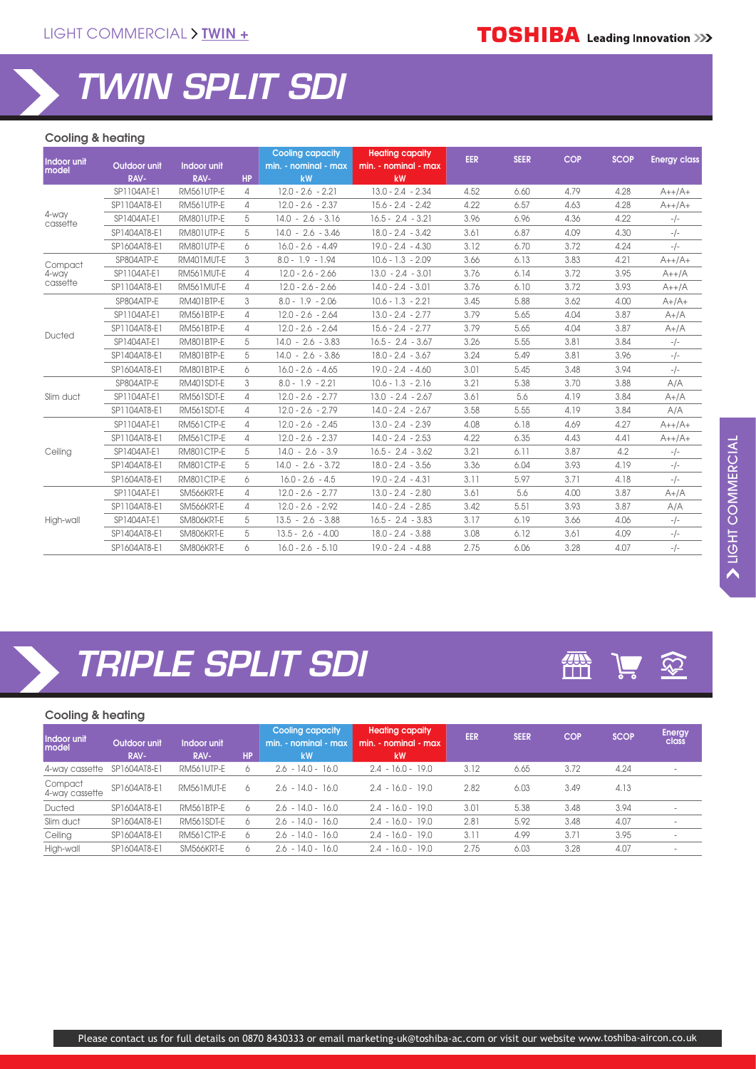# *TWIN SPLIT SDI*

*TRIPLE SPLIT SDI*

#### Cooling & heating

| Indoor unit       |              |             |           | <b>Cooling capacity</b> | <b>Heating capaity</b> | <b>EER</b> | <b>SEER</b> | <b>COP</b> | <b>SCOP</b> | <b>Energy class</b> |
|-------------------|--------------|-------------|-----------|-------------------------|------------------------|------------|-------------|------------|-------------|---------------------|
| model             | Outdoor unit | Indoor unit |           | min. - nominal - max    | min. - nominal - max   |            |             |            |             |                     |
|                   | RAV-         | RAV-        | <b>HP</b> | kW                      | kW                     |            |             |            |             |                     |
|                   | SP1104AT-E1  | RM561UTP-E  | 4         | $12.0 - 2.6 - 2.21$     | $13.0 - 2.4 - 2.34$    | 4.52       | 6.60        | 4.79       | 4.28        | $A++/A+$            |
|                   | SP1104AT8-E1 | RM561UTP-E  | 4         | $12.0 - 2.6 - 2.37$     | $15.6 - 2.4 - 2.42$    | 4.22       | 6.57        | 4.63       | 4.28        | $A++/A+$            |
| 4-way<br>cassette | SP1404AT-E1  | RM801UTP-E  | 5         | $14.0 - 2.6 - 3.16$     | $16.5 - 2.4 - 3.21$    | 3.96       | 6.96        | 4.36       | 4.22        | $-/-$               |
|                   | SP1404AT8-E1 | RM801UTP-E  | 5         | $14.0 - 2.6 - 3.46$     | $18.0 - 2.4 - 3.42$    | 3.61       | 6.87        | 4.09       | 4.30        | $-/-$               |
|                   | SP1604AT8-E1 | RM801UTP-E  | 6         | $16.0 - 2.6 - 4.49$     | $19.0 - 2.4 - 4.30$    | 3.12       | 6.70        | 3.72       | 4.24        | $-/-$               |
| Compact           | SP804ATP-E   | RM401MUT-E  | 3         | $8.0 - 1.9 - 1.94$      | $10.6 - 1.3 - 2.09$    | 3.66       | 6.13        | 3.83       | 4.21        | $A++/A+$            |
| 4-way             | SP1104AT-E1  | RM561MUT-E  | 4         | $12.0 - 2.6 - 2.66$     | $13.0 - 2.4 - 3.01$    | 3.76       | 6.14        | 3.72       | 3.95        | $A++/A$             |
| cassette          | SP1104AT8-E1 | RM561MUT-E  | 4         | $12.0 - 2.6 - 2.66$     | $14.0 - 2.4 - 3.01$    | 3.76       | 6.10        | 3.72       | 3.93        | $A++/A$             |
|                   | SP804ATP-E   | RM401BTP-E  | 3         | $8.0 - 1.9 - 2.06$      | $10.6 - 1.3 - 2.21$    | 3.45       | 5.88        | 3.62       | 4.00        | $A+/A+$             |
|                   | SP1104AT-E1  | RM561BTP-E  | 4         | $12.0 - 2.6 - 2.64$     | $13.0 - 2.4 - 2.77$    | 3.79       | 5.65        | 4.04       | 3.87        | $A+/A$              |
|                   | SP1104AT8-E1 | RM561BTP-E  | 4         | $12.0 - 2.6 - 2.64$     | $15.6 - 2.4 - 2.77$    | 3.79       | 5.65        | 4.04       | 3.87        | $A+/A$              |
| Ducted            | SP1404AT-E1  | RM801BTP-E  | 5         | $14.0 - 2.6 - 3.83$     | $16.5 - 2.4 - 3.67$    | 3.26       | 5.55        | 3.81       | 3.84        | $-/-$               |
|                   | SP1404AT8-E1 | RM801BTP-E  | 5         | $14.0 - 2.6 - 3.86$     | $18.0 - 2.4 - 3.67$    | 3.24       | 5.49        | 3.81       | 3.96        | $-/-$               |
|                   | SP1604AT8-E1 | RM801BTP-E  | 6         | $16.0 - 2.6 - 4.65$     | $19.0 - 2.4 - 4.60$    | 3.01       | 5.45        | 3.48       | 3.94        | $-/-$               |
|                   | SP804ATP-E   | RM401SDT-E  | 3         | $8.0 - 1.9 - 2.21$      | $10.6 - 1.3 - 2.16$    | 3.21       | 5.38        | 3.70       | 3.88        | A/A                 |
| Slim duct         | SP1104AT-E1  | RM561SDT-E  | 4         | $12.0 - 2.6 - 2.77$     | $13.0 - 2.4 - 2.67$    | 3.61       | 5.6         | 4.19       | 3.84        | $A+/A$              |
|                   | SP1104AT8-E1 | RM561SDT-E  | 4         | $12.0 - 2.6 - 2.79$     | $14.0 - 2.4 - 2.67$    | 3.58       | 5.55        | 4.19       | 3.84        | A/A                 |
|                   | SP1104AT-E1  | RM561CTP-E  | 4         | $12.0 - 2.6 - 2.45$     | $13.0 - 2.4 - 2.39$    | 4.08       | 6.18        | 4.69       | 4.27        | $A++/A+$            |
|                   | SP1104AT8-E1 | RM561CTP-E  | 4         | $12.0 - 2.6 - 2.37$     | $14.0 - 2.4 - 2.53$    | 4.22       | 6.35        | 4.43       | 4.41        | $A++/A+$            |
| Ceiling           | SP1404AT-E1  | RM801CTP-E  | 5         | $14.0 - 2.6 - 3.9$      | $16.5 - 2.4 - 3.62$    | 3.21       | 6.11        | 3.87       | 4.2         | $-/-$               |
|                   | SP1404AT8-E1 | RM801CTP-E  | 5         | $14.0 - 2.6 - 3.72$     | $18.0 - 2.4 - 3.56$    | 3.36       | 6.04        | 3.93       | 4.19        | $-/-$               |
|                   | SP1604AT8-E1 | RM801CTP-E  | 6         | $16.0 - 2.6 - 4.5$      | $19.0 - 2.4 - 4.31$    | 3.11       | 5.97        | 3.71       | 4.18        | $-/-$               |
|                   | SP1104AT-E1  | SM566KRT-E  | 4         | $12.0 - 2.6 - 2.77$     | $13.0 - 2.4 - 2.80$    | 3.61       | 5.6         | 4.00       | 3.87        | $A+/A$              |
|                   | SP1104AT8-E1 | SM566KRT-E  | 4         | $12.0 - 2.6 - 2.92$     | $14.0 - 2.4 - 2.85$    | 3.42       | 5.51        | 3.93       | 3.87        | A/A                 |
| High-wall         | SP1404AT-E1  | SM806KRT-E  | 5         | $13.5 - 2.6 - 3.88$     | $16.5 - 2.4 - 3.83$    | 3.17       | 6.19        | 3.66       | 4.06        | $-/-$               |
|                   | SP1404AT8-E1 | SM806KRT-E  | 5         | $13.5 - 2.6 - 4.00$     | $18.0 - 2.4 - 3.88$    | 3.08       | 6.12        | 3.61       | 4.09        | $-/-$               |
|                   | SP1604AT8-E1 | SM806KRT-E  | 6         | $16.0 - 2.6 - 5.10$     | $19.0 - 2.4 - 4.88$    | 2.75       | 6.06        | 3.28       | 4.07        | $-/-$               |

### 靈  $\bigotimes$  $\frac{1}{2}$

### Cooling & heating

|   | Energy | <b>SCOP</b> | <b>COP</b> | <b>SEER</b> | <b>EER</b> | <b>Heating capaity</b><br>$min. - nominal - max$<br><b>kW</b> | Cooling capacity<br>$min. - nominal - max$<br>kW | <b>HP</b> | Indoor unit<br>RAV- | Outdoor unit<br>RAV- | Indoor unit<br>model      |
|---|--------|-------------|------------|-------------|------------|---------------------------------------------------------------|--------------------------------------------------|-----------|---------------------|----------------------|---------------------------|
|   |        | 4.24        | 3.72       | 6.65        | 3.12       | $2.4 - 16.0 - 19.0$                                           | $2.6 - 14.0 - 16.0$                              | 6         | RM561UTP-E          | SP1604AT8-E1         | 4-way cassette            |
|   |        | 4.13        | 3.49       | 6.03        | 2.82       | $2.4 - 16.0 - 19.0$                                           | $2.6 - 14.0 - 16.0$                              | 6         | RM561MUT-E          | SP1604AT8-E1         | Compact<br>4-way cassette |
|   |        | 3.94        | 3.48       | 5.38        | 3.01       | $2.4 - 16.0 - 19.0$                                           | $2.6 - 14.0 - 16.0$                              | 6         | <b>RM561BTP-E</b>   | SP1604AT8-E1         | Ducted                    |
|   |        | 4.07        | 3.48       | 5.92        | 2.81       | $2.4 - 16.0 - 19.0$                                           | $2.6 - 14.0 - 16.0$                              | Ô.        | RM561SDT-E          | SP1604AT8-E1         | Slim duct                 |
|   |        | 3.95        | 3.71       | 4.99        | 3.11       | $2.4 - 16.0 - 19.0$                                           | $2.6 - 14.0 - 16.0$                              | 6         | <b>RM561CTP-E</b>   | SP1604AT8-E1         | Ceiling                   |
| ۰ |        | 4.07        | 3.28       | 6.03        | 2.75       | $2.4 - 16.0 - 19.0$                                           | $2.6 - 14.0 - 16.0$                              | 6         | SM566KRT-E          | SP1604AT8-E1         | High-wall                 |
|   |        |             |            |             |            |                                                               |                                                  |           |                     |                      |                           |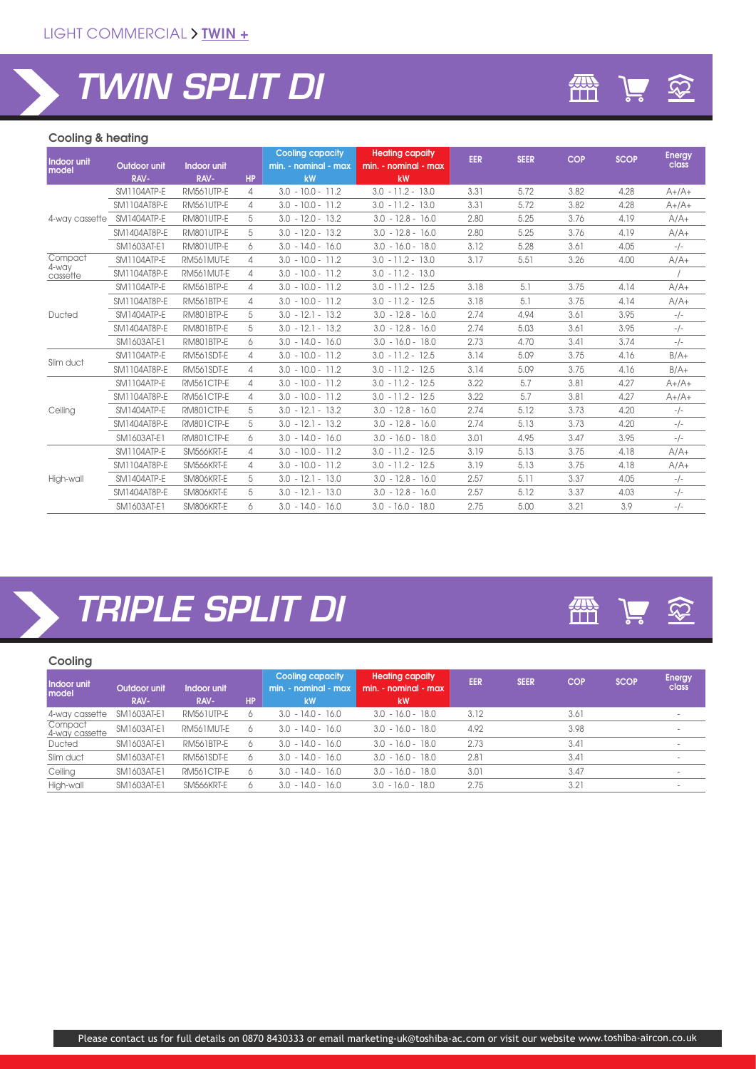# *TWIN SPLIT DI*

### Cooling & heating

| Indoor unit<br>model | Outdoor unit<br>RAV- | Indoor unit<br>RAV- | <b>HP</b> | <b>Cooling capacity</b><br>min. - nominal - max<br>kW | <b>Heating capaity</b><br>min. - nominal - max<br>kW | EER  | <b>SEER</b> | <b>COP</b> | <b>SCOP</b> | <b>Energy</b><br>class |
|----------------------|----------------------|---------------------|-----------|-------------------------------------------------------|------------------------------------------------------|------|-------------|------------|-------------|------------------------|
|                      | SM1104ATP-E          | RM561UTP-E          | 4         | $3.0 - 10.0 - 11.2$                                   | $3.0 - 11.2 - 13.0$                                  | 3.31 | 5.72        | 3.82       | 4.28        | $A+/A+$                |
|                      | SM1104AT8P-E         | RM561UTP-E          | 4         | $3.0 - 10.0 - 11.2$                                   | $3.0 - 11.2 - 13.0$                                  | 3.31 | 5.72        | 3.82       | 4.28        | $A+/A+$                |
| 4-way cassette       | SM1404ATP-E          | RM801UTP-E          | 5         | $3.0 - 12.0 - 13.2$                                   | $3.0 - 12.8 - 16.0$                                  | 2.80 | 5.25        | 3.76       | 4.19        | $A/A+$                 |
|                      | SM1404AT8P-E         | RM801UTP-E          | 5         | $3.0 - 12.0 - 13.2$                                   | $3.0 - 12.8 - 16.0$                                  | 2.80 | 5.25        | 3.76       | 4.19        | $A/A+$                 |
|                      | SM1603AT-E1          | RM801UTP-E          | 6         | $3.0 - 14.0 - 16.0$                                   | $3.0 - 16.0 - 18.0$                                  | 3.12 | 5.28        | 3.61       | 4.05        | $-/-$                  |
| Compact              | <b>SM1104ATP-E</b>   | RM561MUT-E          | 4         | $3.0 - 10.0 - 11.2$                                   | $3.0 - 11.2 - 13.0$                                  | 3.17 | 5.51        | 3.26       | 4.00        | $A/A+$                 |
| 4-way<br>cassette    | SM1104AT8P-E         | RM561MUT-E          | 4         | $3.0 - 10.0 - 11.2$                                   | $3.0 - 11.2 - 13.0$                                  |      |             |            |             |                        |
|                      | SM1104ATP-E          | RM561BTP-E          | 4         | $3.0 - 10.0 - 11.2$                                   | $3.0 - 11.2 - 12.5$                                  | 3.18 | 5.1         | 3.75       | 4.14        | $A/A+$                 |
|                      | SM1104AT8P-E         | <b>RM561BTP-E</b>   | 4         | $3.0 - 10.0 - 11.2$                                   | $3.0 - 11.2 - 12.5$                                  | 3.18 | 5.1         | 3.75       | 4.14        | $A/A+$                 |
| Ducted               | SM1404ATP-E          | RM801BTP-E          | 5         | $3.0 - 12.1 - 13.2$                                   | $3.0 - 12.8 - 16.0$                                  | 2.74 | 4.94        | 3.61       | 3.95        | $-/-$                  |
|                      | SM1404AT8P-E         | RM801BTP-E          | 5         | $3.0 - 12.1 - 13.2$                                   | $3.0 - 12.8 - 16.0$                                  | 2.74 | 5.03        | 3.61       | 3.95        | $-/-$                  |
|                      | SM1603AT-E1          | RM801BTP-E          | 6         | $3.0 - 14.0 - 16.0$                                   | $3.0 - 16.0 - 18.0$                                  | 2.73 | 4.70        | 3.41       | 3.74        | $-/-$                  |
| Slim duct            | SM1104ATP-E          | RM561SDT-E          | 4         | $3.0 - 10.0 - 11.2$                                   | $3.0 - 11.2 - 12.5$                                  | 3.14 | 5.09        | 3.75       | 4.16        | $B/A+$                 |
|                      | SM1104AT8P-E         | RM561SDT-E          | 4         | $3.0 - 10.0 - 11.2$                                   | $3.0 - 11.2 - 12.5$                                  | 3.14 | 5.09        | 3.75       | 4.16        | $B/A+$                 |
|                      | SM1104ATP-E          | RM561CTP-E          | 4         | $3.0 - 10.0 - 11.2$                                   | $3.0 - 11.2 - 12.5$                                  | 3.22 | 5.7         | 3.81       | 4.27        | $A+/A+$                |
|                      | SM1104AT8P-E         | <b>RM561CTP-E</b>   | 4         | $3.0 - 10.0 - 11.2$                                   | $3.0 - 11.2 - 12.5$                                  | 3.22 | 5.7         | 3.81       | 4.27        | $A+/A+$                |
| Ceiling              | SM1404ATP-E          | RM801CTP-E          | 5         | $3.0 - 12.1 - 13.2$                                   | $3.0 - 12.8 - 16.0$                                  | 2.74 | 5.12        | 3.73       | 4.20        | $-/-$                  |
|                      | SM1404AT8P-E         | RM801CTP-E          | 5         | $3.0 - 12.1 - 13.2$                                   | $3.0 - 12.8 - 16.0$                                  | 2.74 | 5.13        | 3.73       | 4.20        | $-/-$                  |
|                      | SM1603AT-E1          | RM801CTP-E          | 6         | $3.0 - 14.0 - 16.0$                                   | $3.0 - 16.0 - 18.0$                                  | 3.01 | 4.95        | 3.47       | 3.95        | $-/-$                  |
|                      | SM1104ATP-E          | SM566KRT-E          | 4         | $3.0 - 10.0 - 11.2$                                   | $3.0 - 11.2 - 12.5$                                  | 3.19 | 5.13        | 3.75       | 4.18        | $A/A+$                 |
|                      | SM1104AT8P-E         | SM566KRT-E          | 4         | $3.0 - 10.0 - 11.2$                                   | $3.0 - 11.2 - 12.5$                                  | 3.19 | 5.13        | 3.75       | 4.18        | $A/A+$                 |
| High-wall            | SM1404ATP-E          | SM806KRT-E          | 5         | $3.0 - 12.1 - 13.0$                                   | $3.0 - 12.8 - 16.0$                                  | 2.57 | 5.11        | 3.37       | 4.05        | $-/-$                  |
|                      | SM1404AT8P-E         | SM806KRT-E          | 5         | $3.0 - 12.1 - 13.0$                                   | $3.0 - 12.8 - 16.0$                                  | 2.57 | 5.12        | 3.37       | 4.03        | $-/-$                  |
|                      | SM1603AT-E1          | SM806KRT-E          | 6         | $3.0 - 14.0 - 16.0$                                   | $3.0 - 16.0 - 18.0$                                  | 2.75 | 5.00        | 3.21       | 3.9         | $-/-$                  |

## *TRIPLE SPLIT DI*

#### Cooling

| Indoor unit<br>model      | Outdoor unit<br>RAV- | Indoor unit<br>RAV- | <b>HP</b> | <b>Cooling capacity</b><br>min. - nominal - max<br>kW | <b>Heating capaity</b><br>min. - nominal - max<br><b>kW</b> | EER  | <b>SEER</b> | <b>COP</b> | <b>SCOP</b> | <b>Energy</b><br>class |
|---------------------------|----------------------|---------------------|-----------|-------------------------------------------------------|-------------------------------------------------------------|------|-------------|------------|-------------|------------------------|
| 4-way cassette            | SM1603AT-E1          | RM561UTP-E          |           | $3.0 - 14.0 - 16.0$                                   | $3.0 - 16.0 - 18.0$                                         | 3.12 |             | 3.61       |             |                        |
| Compact<br>4-way cassette | SM1603AT-E1          | RM561MUT-E          | Ô.        | $3.0 - 14.0 - 16.0$                                   | $3.0 - 16.0 - 18.0$                                         | 4.92 |             | 3.98       |             | ۰                      |
| Ducted                    | SM1603AT-E1          | <b>RM561BTP-E</b>   |           | $3.0 - 14.0 - 16.0$                                   | $3.0 - 16.0 - 18.0$                                         | 2.73 |             | 3.41       |             | ۰                      |
| Slim duct                 | SM1603AT-E1          | RM561SDT-E          |           | $3.0 - 14.0 - 16.0$                                   | $3.0 - 16.0 - 18.0$                                         | 2.81 |             | 3.41       |             | $\sim$                 |
| Ceiling                   | SM1603AT-E1          | <b>RM561CTP-E</b>   | Ő         | $3.0 - 14.0 - 16.0$                                   | $3.0 - 16.0 - 18.0$                                         | 3.01 |             | 3.47       |             | $\sim$                 |
| High-wall                 | SM1603AT-E1          | SM566KRT-E          |           | $3.0 - 14.0 - 16.0$                                   | $3.0 - 16.0 - 18.0$                                         | 2.75 |             | 3.21       |             | ÷.                     |